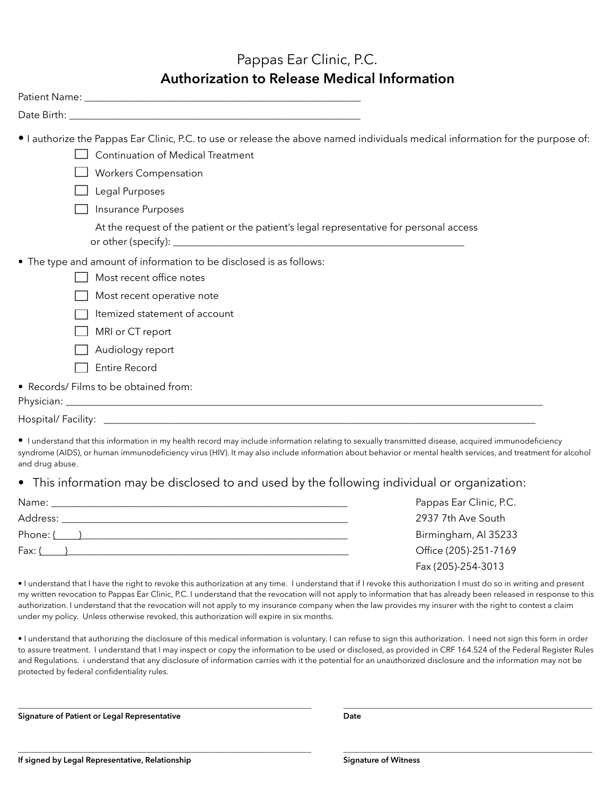#### Pappas Ear Clinic, P.C. **Authorization to Release Medical Information**

| • I authorize the Pappas Ear Clinic, P.C. to use or release the above named individuals medical information for the purpose of:<br><b>Continuation of Medical Treatment</b><br><b>Workers Compensation</b><br>Legal Purposes<br>Insurance Purposes                                                              |
|-----------------------------------------------------------------------------------------------------------------------------------------------------------------------------------------------------------------------------------------------------------------------------------------------------------------|
| At the request of the patient or the patient's legal representative for personal access                                                                                                                                                                                                                         |
| • The type and amount of information to be disclosed is as follows:<br>Most recent office notes<br>Most recent operative note<br>Itemized statement of account<br>MRI or CT report<br>Audiology report<br><b>Entire Record</b>                                                                                  |
| • Records/ Films to be obtained from:                                                                                                                                                                                                                                                                           |
|                                                                                                                                                                                                                                                                                                                 |
| I understand that this information in my health record may include information relating to sexually transmitted disease, acquired immunodeficiency<br>avadroma (AIDC), ar human immunadaficianay virua (HBA) It may also include information about behavior ar montal booth convices, and treatment for algohol |

syndrome (AIDS), or human immunodeficiency virus (HIV). It may also include information about behavior or mental health service and drug abuse.

#### • This information may be disclosed to and used by the following individual or organization:

| Name:<br>the contract of the contract of the contract of the contract of the contract of the contract of the contract of | Pappas Ear Clinic, P.C. |
|--------------------------------------------------------------------------------------------------------------------------|-------------------------|
| Address:                                                                                                                 | 2937 7th Ave South      |
| Phone: ( )                                                                                                               | Birmingham, Al 35233    |
| Fax: (                                                                                                                   | Office (205)-251-7169   |
|                                                                                                                          | Fax (205)-254-3013      |

• I understand that I have the right to revoke this authorization at any time. I understand that if I revoke this authorization I must do so in writing and present my written revocation to Pappas Ear Clinic, P.C. I understand that the revocation will not apply to information that has already been released in response to this authorization. I understand that the revocation will not apply to my insurance company when the law provides my insurer with the right to contest a claim under my policy. Unless otherwise revoked, this authorization will expire in six months.

• I understand that authorizing the disclosure of this medical information is voluntary. I can refuse to sign this authorization. I need not sign this form in order to assure treatment. I understand that I may inspect or copy the information to be used or disclosed, as provided in CRF 164.524 of the Federal Register Rules and Regulations. i understand that any disclosure of information carries with it the potential for an unauthorized disclosure and the information may not be protected by federal confidentiality rules.

\_\_\_\_\_\_\_\_\_\_\_\_\_\_\_\_\_\_\_\_\_\_\_\_\_\_\_\_\_\_\_\_\_\_\_\_\_\_\_\_\_\_\_\_\_\_\_\_\_\_\_\_\_\_\_\_\_\_\_\_\_\_\_\_\_\_\_\_\_\_\_\_\_ \_\_\_\_\_\_\_\_\_\_\_\_\_\_\_\_\_\_\_\_\_\_\_\_\_\_\_\_\_\_\_\_\_\_\_\_\_\_\_\_\_\_\_\_\_\_\_\_\_\_\_\_\_\_\_\_\_\_\_\_\_\_

\_\_\_\_\_\_\_\_\_\_\_\_\_\_\_\_\_\_\_\_\_\_\_\_\_\_\_\_\_\_\_\_\_\_\_\_\_\_\_\_\_\_\_\_\_\_\_\_\_\_\_\_\_\_\_\_\_\_\_\_\_\_\_\_\_\_\_\_\_\_\_\_\_ \_\_\_\_\_\_\_\_\_\_\_\_\_\_\_\_\_\_\_\_\_\_\_\_\_\_\_\_\_\_\_\_\_\_\_\_\_\_\_\_\_\_\_\_\_\_\_\_\_\_\_\_\_\_\_\_\_\_\_\_\_\_

**Signature of Patient or Legal Representative Date**